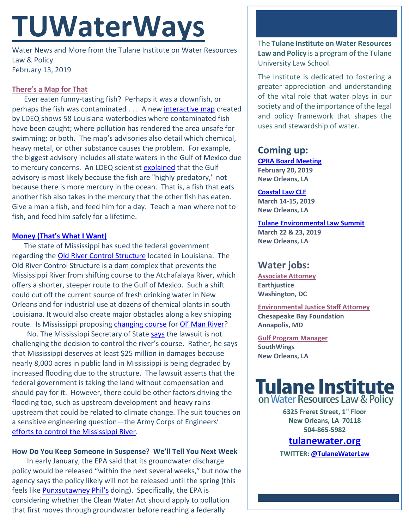# **TUWaterWays**

Water News and More from the Tulane Institute on Water Resources Law & Policy February 13, 2019

## **[There's a Map for That](https://www.youtube.com/watch?v=T-9I4An5f10)**

Ever eaten funny-tasting fish? Perhaps it was a clownfish, or perhaps the fish was contaminated . . . A new [interactive map](https://deq.louisiana.gov/page/fishing-consumption-and-swimming-advisories) created by LDEQ shows 58 Louisiana waterbodies where contaminated fish have been caught; where pollution has rendered the area unsafe for swimming; or both. The map's advisories also detail which chemical, heavy metal, or other substance causes the problem. For example, the biggest advisory includes all state waters in the Gulf of Mexico due to mercury concerns. An LDEQ scientist [explained](https://www.nola.com/environment/2019/02/louisiana-online-map-shows-where-not-to-eat-the-fish-or-swim.html) that the Gulf advisory is most likely because the fish are "highly predatory," not because there is more mercury in the ocean. That is, a fish that eats another fish also takes in the mercury that the other fish has eaten. Give a man a fish, and feed him for a day. Teach a man where not to fish, and feed him safely for a lifetime.

### **[Money \(That's What I](https://www.youtube.com/watch?v=t5KU34DrrPI) Want)**

The state of Mississippi has sued the federal government regarding the [Old River Control Structure](https://en.wikipedia.org/wiki/Old_River_Control_Structure) located in Louisiana. The Old River Control Structure is a dam complex that prevents the Mississippi River from shifting course to the Atchafalaya River, which offers a shorter, steeper route to the Gulf of Mexico. Such a shift could cut off the current source of fresh drinking water in New Orleans and for industrial use at dozens of chemical plants in south Louisiana. It would also create major obstacles along a key shipping route. Is Mississippi proposing **changing course** for **OI' Man River**?

No. The Mississippi Secretary of State **says** the lawsuit is not challenging the decision to control the river's course. Rather, he says that Mississippi deserves at least \$25 million in damages because nearly 8,000 acres in public land in Mississippi is being degraded by increased flooding due to the structure. The lawsuit asserts that the federal government is taking the land without compensation and should pay for it. However, there could be other factors driving the flooding too, such as upstream development and heavy rains upstream that could be related to climate change. The suit touches on a sensitive engineering question—the Army Corps of Engineers' efforts [to control the Mississippi](https://www.theatlantic.com/technology/archive/2011/05/what-weve-done-to-the-mississippi-river-an-explainer/239058/) River.

## **How Do You Keep Someone in Suspense? We'll Tell You Next Week**

In early January, the EPA said that its groundwater discharge policy would be released "within the next several weeks," but now the agency says the policy likely will not be released until the spring (this feels like **Punxsutawney Phil's** doing). Specifically, the EPA is considering whether the Clean Water Act should apply to pollution that first moves through groundwater before reaching a federally

The **Tulane Institute on Water Resources Law and Policy** is a program of the Tulane University Law School.

The Institute is dedicated to fostering a greater appreciation and understanding of the vital role that water plays in our society and of the importance of the legal and policy framework that shapes the uses and stewardship of water.

# **Coming up:**

**[CPRA Board](http://coastal.la.gov/calendar/) Meeting February 20, 2019 New Orleans, LA**

**[Coastal Law CLE](https://www.theseminargroup.net/seminardetl.aspx?id=19.shrNO) March 14-15, 2019 New Orleans, LA**

**[Tulane Environmental Law Summit](https://tulaneenvironmentallawsummit.com/) March 22 & 23, 2019 New Orleans, LA**

# **Water jobs:**

**[Associate Attorney](https://jobs.jobvite.com/careers/earthjustice/job/ohCk9fw6) Earthjustice Washington, DC**

**[Environmental Justice Staff Attorney](https://jobs.jobvite.com/careers/earthjustice/job/ohCk9fw6) Chesapeake Bay Foundation Annapolis, MD**

**[Gulf Program Manager](http://www.southwings.org/news/hiring-gulf-manager/) SouthWings New Orleans, LA**



**6325 Freret Street, 1st Floor New Orleans, LA 70118 504-865-5982** 

## **tulanewater.org**

**TWITTER[: @TulaneWaterLaw](http://www.twitter.com/TulaneWaterLaw)**